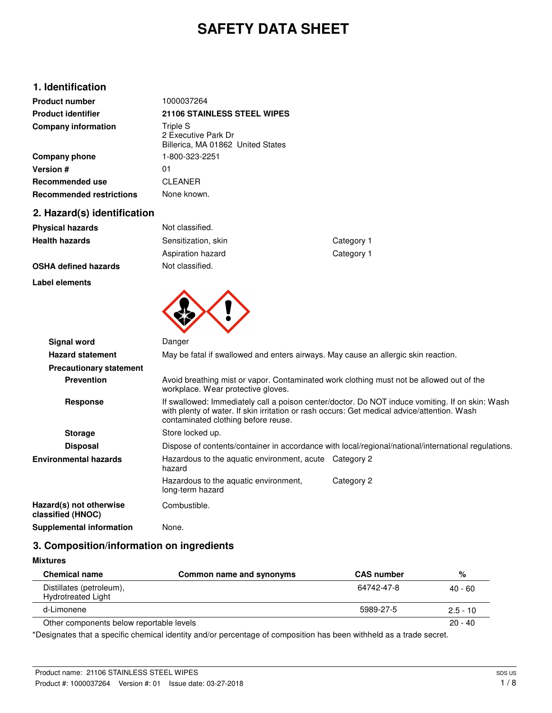# **SAFETY DATA SHEET**

# **1. Identification**

| <b>Product number</b>           | 1000037264                                                                  |
|---------------------------------|-----------------------------------------------------------------------------|
| <b>Product identifier</b>       | <b>21106 STAINLESS STEEL WIPES</b>                                          |
| <b>Company information</b>      | <b>Triple S</b><br>2 Executive Park Dr<br>Billerica, MA 01862 United States |
| Company phone                   | 1-800-323-2251                                                              |
| <b>Version #</b>                | 01                                                                          |
| Recommended use                 | <b>CLEANER</b>                                                              |
| <b>Recommended restrictions</b> | None known.                                                                 |

# **2. Hazard(s) identification**

| Physical hazards     | Not classified.     |            |
|----------------------|---------------------|------------|
| Health hazards       | Sensitization, skin | Category 1 |
|                      | Aspiration hazard   | Category 1 |
| OSHA defined hazards | Not classified.     |            |

**Label elements**



| Signal word                                  | Danger                                                                                                                                                                                                                                |                                                                                                     |
|----------------------------------------------|---------------------------------------------------------------------------------------------------------------------------------------------------------------------------------------------------------------------------------------|-----------------------------------------------------------------------------------------------------|
| <b>Hazard statement</b>                      | May be fatal if swallowed and enters airways. May cause an allergic skin reaction.                                                                                                                                                    |                                                                                                     |
| <b>Precautionary statement</b>               |                                                                                                                                                                                                                                       |                                                                                                     |
| <b>Prevention</b>                            | Avoid breathing mist or vapor. Contaminated work clothing must not be allowed out of the<br>workplace. Wear protective gloves.                                                                                                        |                                                                                                     |
| <b>Response</b>                              | If swallowed: Immediately call a poison center/doctor. Do NOT induce vomiting. If on skin: Wash<br>with plenty of water. If skin irritation or rash occurs: Get medical advice/attention. Wash<br>contaminated clothing before reuse. |                                                                                                     |
| <b>Storage</b>                               | Store locked up.                                                                                                                                                                                                                      |                                                                                                     |
| <b>Disposal</b>                              |                                                                                                                                                                                                                                       | Dispose of contents/container in accordance with local/regional/national/international regulations. |
| Environmental hazards                        | Hazardous to the aquatic environment, acute Category 2<br>hazard                                                                                                                                                                      |                                                                                                     |
|                                              | Hazardous to the aquatic environment,<br>long-term hazard                                                                                                                                                                             | Category 2                                                                                          |
| Hazard(s) not otherwise<br>classified (HNOC) | Combustible.                                                                                                                                                                                                                          |                                                                                                     |
| <b>Supplemental information</b>              | None.                                                                                                                                                                                                                                 |                                                                                                     |
|                                              |                                                                                                                                                                                                                                       |                                                                                                     |

# **3. Composition/information on ingredients**

| <b>Mixtures</b>                                       |                          |                   |            |
|-------------------------------------------------------|--------------------------|-------------------|------------|
| <b>Chemical name</b>                                  | Common name and synonyms | <b>CAS number</b> | %          |
| Distillates (petroleum),<br><b>Hydrotreated Light</b> |                          | 64742-47-8        | $40 - 60$  |
| d-Limonene                                            |                          | 5989-27-5         | $2.5 - 10$ |
| Other components below reportable levels              |                          |                   | $20 - 40$  |

\*Designates that a specific chemical identity and/or percentage of composition has been withheld as a trade secret.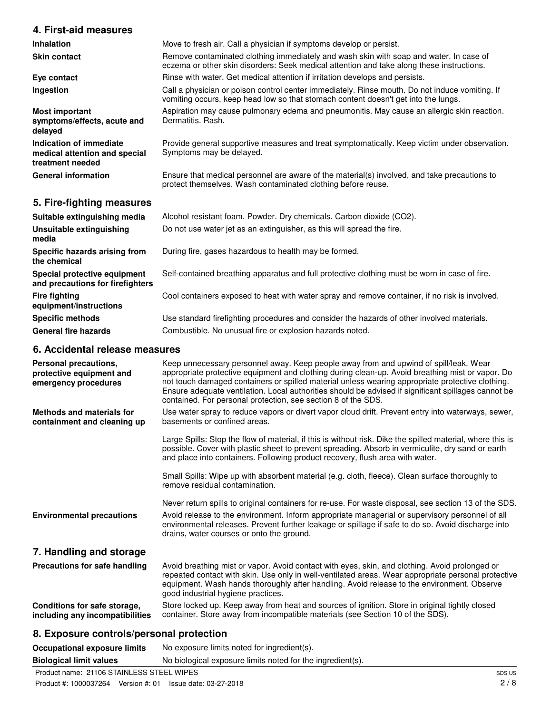## **4. First-aid measures**

| <b>Inhalation</b>                                                            | Move to fresh air. Call a physician if symptoms develop or persist.                                                                                                                  |
|------------------------------------------------------------------------------|--------------------------------------------------------------------------------------------------------------------------------------------------------------------------------------|
| <b>Skin contact</b>                                                          | Remove contaminated clothing immediately and wash skin with soap and water. In case of<br>eczema or other skin disorders: Seek medical attention and take along these instructions.  |
| Eye contact                                                                  | Rinse with water. Get medical attention if irritation develops and persists.                                                                                                         |
| Ingestion                                                                    | Call a physician or poison control center immediately. Rinse mouth. Do not induce vomiting. If<br>vomiting occurs, keep head low so that stomach content doesn't get into the lungs. |
| <b>Most important</b><br>symptoms/effects, acute and<br>delayed              | Aspiration may cause pulmonary edema and pneumonitis. May cause an allergic skin reaction.<br>Dermatitis, Rash.                                                                      |
| Indication of immediate<br>medical attention and special<br>treatment needed | Provide general supportive measures and treat symptomatically. Keep victim under observation.<br>Symptoms may be delayed.                                                            |
| <b>General information</b>                                                   | Ensure that medical personnel are aware of the material(s) involved, and take precautions to<br>protect themselves. Wash contaminated clothing before reuse.                         |

# **5. Fire-fighting measures**

| Suitable extinguishing media                                     | Alcohol resistant foam. Powder. Dry chemicals. Carbon dioxide (CO2).                           |
|------------------------------------------------------------------|------------------------------------------------------------------------------------------------|
| Unsuitable extinguishing<br>media                                | Do not use water jet as an extinguisher, as this will spread the fire.                         |
| Specific hazards arising from<br>the chemical                    | During fire, gases hazardous to health may be formed.                                          |
| Special protective equipment<br>and precautions for firefighters | Self-contained breathing apparatus and full protective clothing must be worn in case of fire.  |
| <b>Fire fighting</b><br>equipment/instructions                   | Cool containers exposed to heat with water spray and remove container, if no risk is involved. |
| <b>Specific methods</b>                                          | Use standard firefighting procedures and consider the hazards of other involved materials.     |
| <b>General fire hazards</b>                                      | Combustible. No unusual fire or explosion hazards noted.                                       |

# **6. Accidental release measures**

| Personal precautions,<br>protective equipment and<br>emergency procedures | Keep unnecessary personnel away. Keep people away from and upwind of spill/leak. Wear<br>appropriate protective equipment and clothing during clean-up. Avoid breathing mist or vapor. Do<br>not touch damaged containers or spilled material unless wearing appropriate protective clothing.<br>Ensure adequate ventilation. Local authorities should be advised if significant spillages cannot be<br>contained. For personal protection, see section 8 of the SDS. |
|---------------------------------------------------------------------------|-----------------------------------------------------------------------------------------------------------------------------------------------------------------------------------------------------------------------------------------------------------------------------------------------------------------------------------------------------------------------------------------------------------------------------------------------------------------------|
| <b>Methods and materials for</b><br>containment and cleaning up           | Use water spray to reduce vapors or divert vapor cloud drift. Prevent entry into waterways, sewer,<br>basements or confined areas.                                                                                                                                                                                                                                                                                                                                    |
|                                                                           | Large Spills: Stop the flow of material, if this is without risk. Dike the spilled material, where this is<br>possible. Cover with plastic sheet to prevent spreading. Absorb in vermiculite, dry sand or earth<br>and place into containers. Following product recovery, flush area with water.                                                                                                                                                                      |
|                                                                           | Small Spills: Wipe up with absorbent material (e.g. cloth, fleece). Clean surface thoroughly to<br>remove residual contamination.                                                                                                                                                                                                                                                                                                                                     |
|                                                                           | Never return spills to original containers for re-use. For waste disposal, see section 13 of the SDS.                                                                                                                                                                                                                                                                                                                                                                 |
| <b>Environmental precautions</b>                                          | Avoid release to the environment. Inform appropriate managerial or supervisory personnel of all<br>environmental releases. Prevent further leakage or spillage if safe to do so. Avoid discharge into<br>drains, water courses or onto the ground.                                                                                                                                                                                                                    |
| 7. Handling and storage                                                   |                                                                                                                                                                                                                                                                                                                                                                                                                                                                       |
| Precautions for safe handling                                             | Avoid breathing mist or vapor. Avoid contact with eyes, skin, and clothing. Avoid prolonged or<br>repeated contact with skin. Use only in well-ventilated areas. Wear appropriate personal protective<br>equipment. Wash hands thoroughly after handling. Avoid release to the environment. Observe<br>good industrial hygiene practices.                                                                                                                             |
| Conditions for safe storage,<br>including any incompatibilities           | Store locked up. Keep away from heat and sources of ignition. Store in original tightly closed<br>container. Store away from incompatible materials (see Section 10 of the SDS).                                                                                                                                                                                                                                                                                      |
| 8. Exposure controls/personal protection                                  |                                                                                                                                                                                                                                                                                                                                                                                                                                                                       |

| No exposure limits noted for ingredient(s).<br>Occupational exposure limits |                                |                                                            |
|-----------------------------------------------------------------------------|--------------------------------|------------------------------------------------------------|
|                                                                             | <b>Biological limit values</b> | No biological exposure limits noted for the ingredient(s). |
|                                                                             |                                |                                                            |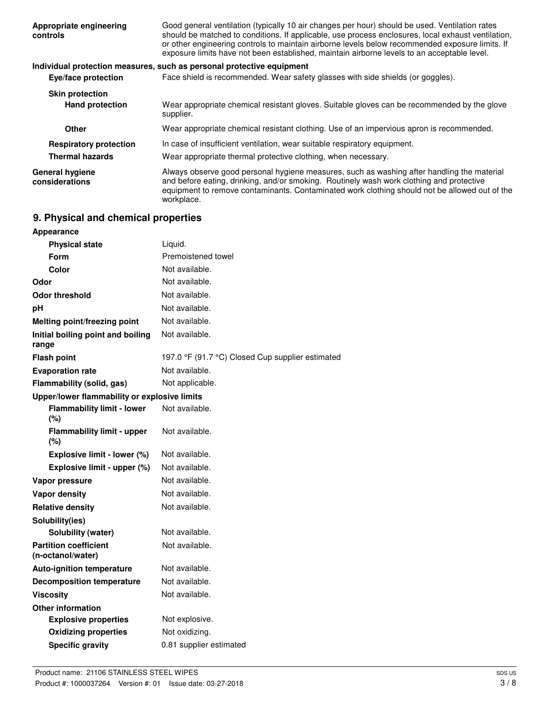| Appropriate engineering<br>controls                     | Good general ventilation (typically 10 air changes per hour) should be used. Ventilation rates<br>should be matched to conditions. If applicable, use process enclosures, local exhaust ventilation,<br>or other engineering controls to maintain airborne levels below recommended exposure limits. If<br>exposure limits have not been established, maintain airborne levels to an acceptable level. |
|---------------------------------------------------------|--------------------------------------------------------------------------------------------------------------------------------------------------------------------------------------------------------------------------------------------------------------------------------------------------------------------------------------------------------------------------------------------------------|
|                                                         | Individual protection measures, such as personal protective equipment                                                                                                                                                                                                                                                                                                                                  |
| Eye/face protection                                     | Face shield is recommended. Wear safety glasses with side shields (or goggles).                                                                                                                                                                                                                                                                                                                        |
| <b>Skin protection</b><br><b>Hand protection</b>        | Wear appropriate chemical resistant gloves. Suitable gloves can be recommended by the glove<br>supplier.                                                                                                                                                                                                                                                                                               |
| Other                                                   | Wear appropriate chemical resistant clothing. Use of an impervious apron is recommended.                                                                                                                                                                                                                                                                                                               |
| <b>Respiratory protection</b><br><b>Thermal hazards</b> | In case of insufficient ventilation, wear suitable respiratory equipment.<br>Wear appropriate thermal protective clothing, when necessary.                                                                                                                                                                                                                                                             |
| General hygiene<br>considerations                       | Always observe good personal hygiene measures, such as washing after handling the material<br>and before eating, drinking, and/or smoking. Routinely wash work clothing and protective<br>equipment to remove contaminants. Contaminated work clothing should not be allowed out of the<br>workplace.                                                                                                  |

# **9. Physical and chemical properties**

| <b>Appearance</b>                                 |                                                  |
|---------------------------------------------------|--------------------------------------------------|
| <b>Physical state</b>                             | Liquid.                                          |
| Form                                              | Premoistened towel                               |
| Color                                             | Not available.                                   |
| Odor                                              | Not available.                                   |
| <b>Odor threshold</b>                             | Not available.                                   |
| рH                                                | Not available.                                   |
| Melting point/freezing point                      | Not available.                                   |
| Initial boiling point and boiling<br>range        | Not available.                                   |
| <b>Flash point</b>                                | 197.0 °F (91.7 °C) Closed Cup supplier estimated |
| <b>Evaporation rate</b>                           | Not available.                                   |
| Flammability (solid, gas)                         | Not applicable.                                  |
| Upper/lower flammability or explosive limits      |                                                  |
| <b>Flammability limit - lower</b><br>(%)          | Not available.                                   |
| <b>Flammability limit - upper</b><br>(%)          | Not available.                                   |
| Explosive limit - lower (%)                       | Not available.                                   |
| Explosive limit - upper (%)                       | Not available.                                   |
| Vapor pressure                                    | Not available.                                   |
| <b>Vapor density</b>                              | Not available.                                   |
| <b>Relative density</b>                           | Not available.                                   |
| Solubility(ies)                                   |                                                  |
| Solubility (water)                                | Not available.                                   |
| <b>Partition coefficient</b><br>(n-octanol/water) | Not available.                                   |
| <b>Auto-ignition temperature</b>                  | Not available.                                   |
| <b>Decomposition temperature</b>                  | Not available.                                   |
| <b>Viscosity</b>                                  | Not available.                                   |
| <b>Other information</b>                          |                                                  |
| <b>Explosive properties</b>                       | Not explosive.                                   |
| <b>Oxidizing properties</b>                       | Not oxidizing.                                   |
| <b>Specific gravity</b>                           | 0.81 supplier estimated                          |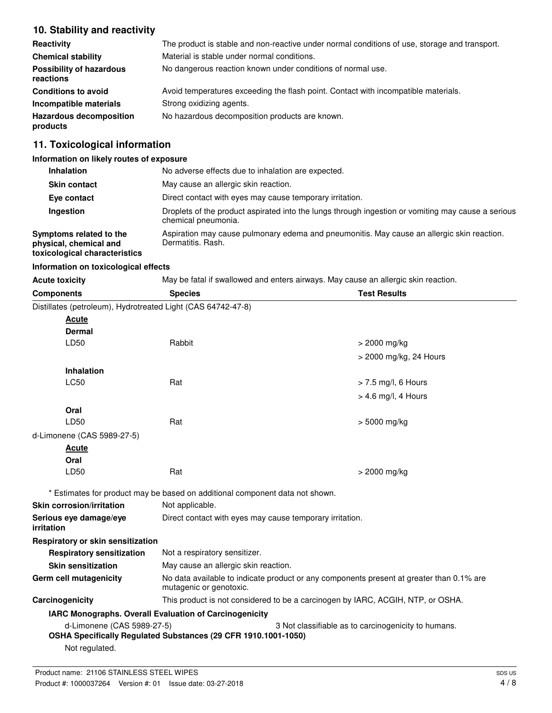## **10. Stability and reactivity**

| Reactivity                                   | The product is stable and non-reactive under normal conditions of use, storage and transport. |
|----------------------------------------------|-----------------------------------------------------------------------------------------------|
| <b>Chemical stability</b>                    | Material is stable under normal conditions.                                                   |
| <b>Possibility of hazardous</b><br>reactions | No dangerous reaction known under conditions of normal use.                                   |
| <b>Conditions to avoid</b>                   | Avoid temperatures exceeding the flash point. Contact with incompatible materials.            |
| Incompatible materials                       | Strong oxidizing agents.                                                                      |
| <b>Hazardous decomposition</b><br>products   | No hazardous decomposition products are known.                                                |

# **11. Toxicological information**

### **Information on likely routes of exposure**

| <b>Inhalation</b>                                                                  | No adverse effects due to inhalation are expected.                                                                        |
|------------------------------------------------------------------------------------|---------------------------------------------------------------------------------------------------------------------------|
| <b>Skin contact</b>                                                                | May cause an allergic skin reaction.                                                                                      |
| Eye contact                                                                        | Direct contact with eyes may cause temporary irritation.                                                                  |
| Ingestion                                                                          | Droplets of the product aspirated into the lungs through ingestion or vomiting may cause a serious<br>chemical pneumonia. |
| Symptoms related to the<br>physical, chemical and<br>toxicological characteristics | Aspiration may cause pulmonary edema and pneumonitis. May cause an allergic skin reaction.<br>Dermatitis, Rash.           |

#### **Information on toxicological effects**

Acute toxicity **May be fatal if swallowed and enters airways. May cause an allergic skin reaction.** 

| <b>Components</b>                                            | <b>Species</b>                                                                                                      | <b>Test Results</b>                                 |
|--------------------------------------------------------------|---------------------------------------------------------------------------------------------------------------------|-----------------------------------------------------|
| Distillates (petroleum), Hydrotreated Light (CAS 64742-47-8) |                                                                                                                     |                                                     |
| <b>Acute</b>                                                 |                                                                                                                     |                                                     |
| <b>Dermal</b>                                                |                                                                                                                     |                                                     |
| LD50                                                         | Rabbit                                                                                                              | $>$ 2000 mg/kg                                      |
|                                                              |                                                                                                                     | > 2000 mg/kg, 24 Hours                              |
| <b>Inhalation</b>                                            |                                                                                                                     |                                                     |
| <b>LC50</b>                                                  | Rat                                                                                                                 | > 7.5 mg/l, 6 Hours                                 |
|                                                              |                                                                                                                     | $>$ 4.6 mg/l, 4 Hours                               |
| Oral                                                         |                                                                                                                     |                                                     |
| LD50                                                         | Rat                                                                                                                 | $> 5000$ mg/kg                                      |
| d-Limonene (CAS 5989-27-5)                                   |                                                                                                                     |                                                     |
| <b>Acute</b>                                                 |                                                                                                                     |                                                     |
| Oral                                                         |                                                                                                                     |                                                     |
| LD50                                                         | Rat                                                                                                                 | > 2000 mg/kg                                        |
|                                                              | * Estimates for product may be based on additional component data not shown.                                        |                                                     |
| Skin corrosion/irritation                                    | Not applicable.                                                                                                     |                                                     |
| Serious eye damage/eye<br>irritation                         | Direct contact with eyes may cause temporary irritation.                                                            |                                                     |
| Respiratory or skin sensitization                            |                                                                                                                     |                                                     |
| <b>Respiratory sensitization</b>                             | Not a respiratory sensitizer.                                                                                       |                                                     |
| <b>Skin sensitization</b>                                    | May cause an allergic skin reaction.                                                                                |                                                     |
| Germ cell mutagenicity                                       | No data available to indicate product or any components present at greater than 0.1% are<br>mutagenic or genotoxic. |                                                     |
| Carcinogenicity                                              | This product is not considered to be a carcinogen by IARC, ACGIH, NTP, or OSHA.                                     |                                                     |
| IARC Monographs. Overall Evaluation of Carcinogenicity       |                                                                                                                     |                                                     |
| d-Limonene (CAS 5989-27-5)                                   | OSHA Specifically Regulated Substances (29 CFR 1910.1001-1050)                                                      | 3 Not classifiable as to carcinogenicity to humans. |
| Not regulated.                                               |                                                                                                                     |                                                     |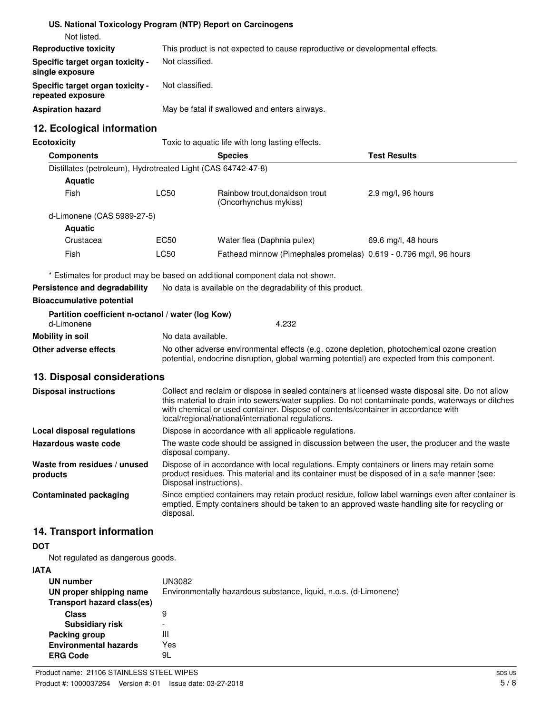| US. National Toxicology Program (NTP) Report on Carcinogens<br>Not listed.                                                           |                                                                                                                                                                                                                                                                                                                                                   |                                                                                                                                                                                            |                     |
|--------------------------------------------------------------------------------------------------------------------------------------|---------------------------------------------------------------------------------------------------------------------------------------------------------------------------------------------------------------------------------------------------------------------------------------------------------------------------------------------------|--------------------------------------------------------------------------------------------------------------------------------------------------------------------------------------------|---------------------|
| <b>Reproductive toxicity</b>                                                                                                         |                                                                                                                                                                                                                                                                                                                                                   | This product is not expected to cause reproductive or developmental effects.                                                                                                               |                     |
| Specific target organ toxicity -<br>single exposure                                                                                  | Not classified.                                                                                                                                                                                                                                                                                                                                   |                                                                                                                                                                                            |                     |
| Specific target organ toxicity -<br>repeated exposure                                                                                |                                                                                                                                                                                                                                                                                                                                                   | Not classified.                                                                                                                                                                            |                     |
| <b>Aspiration hazard</b>                                                                                                             |                                                                                                                                                                                                                                                                                                                                                   | May be fatal if swallowed and enters airways.                                                                                                                                              |                     |
| 12. Ecological information                                                                                                           |                                                                                                                                                                                                                                                                                                                                                   |                                                                                                                                                                                            |                     |
| <b>Ecotoxicity</b>                                                                                                                   |                                                                                                                                                                                                                                                                                                                                                   | Toxic to aquatic life with long lasting effects.                                                                                                                                           |                     |
| <b>Components</b>                                                                                                                    |                                                                                                                                                                                                                                                                                                                                                   | <b>Species</b>                                                                                                                                                                             | <b>Test Results</b> |
| Distillates (petroleum), Hydrotreated Light (CAS 64742-47-8)                                                                         |                                                                                                                                                                                                                                                                                                                                                   |                                                                                                                                                                                            |                     |
| <b>Aquatic</b>                                                                                                                       |                                                                                                                                                                                                                                                                                                                                                   |                                                                                                                                                                                            |                     |
| Fish                                                                                                                                 | LC50                                                                                                                                                                                                                                                                                                                                              | Rainbow trout, donaldson trout<br>(Oncorhynchus mykiss)                                                                                                                                    | 2.9 mg/l, 96 hours  |
| d-Limonene (CAS 5989-27-5)<br><b>Aquatic</b>                                                                                         |                                                                                                                                                                                                                                                                                                                                                   |                                                                                                                                                                                            |                     |
| Crustacea                                                                                                                            | EC50                                                                                                                                                                                                                                                                                                                                              | Water flea (Daphnia pulex)                                                                                                                                                                 | 69.6 mg/l, 48 hours |
| Fish                                                                                                                                 | LC50                                                                                                                                                                                                                                                                                                                                              | Fathead minnow (Pimephales promelas) 0.619 - 0.796 mg/l, 96 hours                                                                                                                          |                     |
| Persistence and degradability<br><b>Bioaccumulative potential</b><br>Partition coefficient n-octanol / water (log Kow)<br>d-Limonene |                                                                                                                                                                                                                                                                                                                                                   | * Estimates for product may be based on additional component data not shown.<br>No data is available on the degradability of this product.<br>4.232                                        |                     |
| <b>Mobility in soil</b>                                                                                                              | No data available.                                                                                                                                                                                                                                                                                                                                |                                                                                                                                                                                            |                     |
| Other adverse effects                                                                                                                |                                                                                                                                                                                                                                                                                                                                                   | No other adverse environmental effects (e.g. ozone depletion, photochemical ozone creation<br>potential, endocrine disruption, global warming potential) are expected from this component. |                     |
| 13. Disposal considerations                                                                                                          |                                                                                                                                                                                                                                                                                                                                                   |                                                                                                                                                                                            |                     |
| <b>Disposal instructions</b>                                                                                                         | Collect and reclaim or dispose in sealed containers at licensed waste disposal site. Do not allow<br>this material to drain into sewers/water supplies. Do not contaminate ponds, waterways or ditches<br>with chemical or used container. Dispose of contents/container in accordance with<br>local/regional/national/international regulations. |                                                                                                                                                                                            |                     |
| <b>Local disposal regulations</b>                                                                                                    | Dispose in accordance with all applicable regulations.                                                                                                                                                                                                                                                                                            |                                                                                                                                                                                            |                     |
| Hazardous waste code                                                                                                                 | The waste code should be assigned in discussion between the user, the producer and the waste<br>disposal company.                                                                                                                                                                                                                                 |                                                                                                                                                                                            |                     |
| Waste from residues / unused<br>products                                                                                             | Dispose of in accordance with local regulations. Empty containers or liners may retain some<br>product residues. This material and its container must be disposed of in a safe manner (see:<br>Disposal instructions).                                                                                                                            |                                                                                                                                                                                            |                     |
| <b>Contaminated packaging</b>                                                                                                        | Since emptied containers may retain product residue, follow label warnings even after container is<br>emptied. Empty containers should be taken to an approved waste handling site for recycling or<br>disposal.                                                                                                                                  |                                                                                                                                                                                            |                     |
| 14. Transport information                                                                                                            |                                                                                                                                                                                                                                                                                                                                                   |                                                                                                                                                                                            |                     |
| <b>DOT</b><br>Not regulated as dangerous goods.                                                                                      |                                                                                                                                                                                                                                                                                                                                                   |                                                                                                                                                                                            |                     |

## **IATA**

| 1 I M                        |                                                                  |
|------------------------------|------------------------------------------------------------------|
| UN number                    | UN3082                                                           |
| UN proper shipping name      | Environmentally hazardous substance, liquid, n.o.s. (d-Limonene) |
| Transport hazard class(es)   |                                                                  |
| <b>Class</b>                 | 9                                                                |
| <b>Subsidiary risk</b>       | -                                                                |
| Packing group                | Ш                                                                |
| <b>Environmental hazards</b> | Yes                                                              |
| <b>ERG Code</b>              | 9L                                                               |
|                              |                                                                  |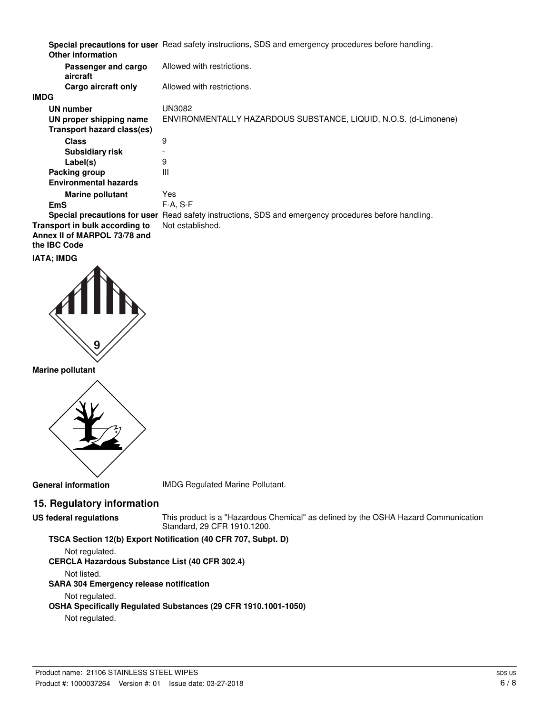**Special precautions for user** Read safety instructions, SDS and emergency procedures before handling.

| <b>Other information</b>                                                       |                                                                                                      |
|--------------------------------------------------------------------------------|------------------------------------------------------------------------------------------------------|
| Passenger and cargo<br>aircraft                                                | Allowed with restrictions.                                                                           |
| Cargo aircraft only                                                            | Allowed with restrictions.                                                                           |
| IMDG                                                                           |                                                                                                      |
| <b>UN number</b>                                                               | UN3082                                                                                               |
| UN proper shipping name                                                        | ENVIRONMENTALLY HAZARDOUS SUBSTANCE, LIQUID, N.O.S. (d-Limonene)                                     |
| <b>Transport hazard class(es)</b>                                              |                                                                                                      |
| <b>Class</b>                                                                   | 9                                                                                                    |
| <b>Subsidiary risk</b>                                                         |                                                                                                      |
| Label(s)                                                                       | 9                                                                                                    |
| Packing group                                                                  | Ш                                                                                                    |
| <b>Environmental hazards</b>                                                   |                                                                                                      |
| <b>Marine pollutant</b>                                                        | Yes                                                                                                  |
| <b>EmS</b>                                                                     | $F-A. S-F$                                                                                           |
|                                                                                | Special precautions for user Read safety instructions, SDS and emergency procedures before handling. |
| Transport in bulk according to<br>Annex II of MARPOL 73/78 and<br>the IBC Code | Not established.                                                                                     |
|                                                                                |                                                                                                      |





#### **Marine pollutant**



**General information** IMDG Regulated Marine Pollutant.

### **15. Regulatory information**

This product is a "Hazardous Chemical" as defined by the OSHA Hazard Communication Standard, 29 CFR 1910.1200.

**TSCA Section 12(b) Export Notification (40 CFR 707, Subpt. D)**

Not regulated.

**CERCLA Hazardous Substance List (40 CFR 302.4)**

Not listed.

### **SARA 304 Emergency release notification**

Not regulated.

**OSHA Specifically Regulated Substances (29 CFR 1910.1001-1050)**

Not regulated.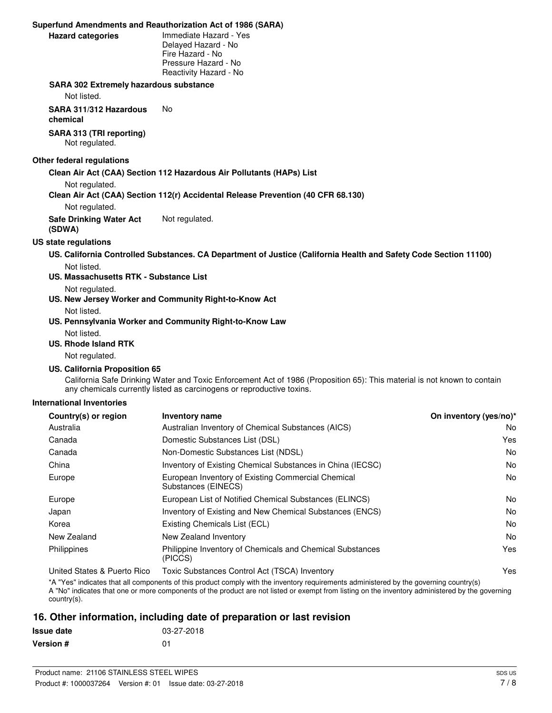#### **Superfund Amendments and Reauthorization Act of 1986 (SARA)**

| <b>Hazard categories</b> |  |
|--------------------------|--|
|                          |  |

Immediate Hazard - Yes Delayed Hazard - No Fire Hazard - No Pressure Hazard - No Reactivity Hazard - No

#### **SARA 302 Extremely hazardous substance**

Not listed.

**SARA 311/312 Hazardous** No

**chemical**

**SARA 313 (TRI reporting)** Not regulated.

#### **Other federal regulations**

**Clean Air Act (CAA) Section 112 Hazardous Air Pollutants (HAPs) List**

Not regulated.

**Clean Air Act (CAA) Section 112(r) Accidental Release Prevention (40 CFR 68.130)**

Not regulated.

**Safe Drinking Water Act** Not regulated. **(SDWA)**

#### **US state regulations**

- **US. California Controlled Substances. CA Department of Justice (California Health and Safety Code Section 11100)** Not listed.
- **US. Massachusetts RTK Substance List**

Not regulated.

- **US. New Jersey Worker and Community Right-to-Know Act**
	- Not listed.
- **US. Pennsylvania Worker and Community Right-to-Know Law** Not listed.

#### **US. Rhode Island RTK**

Not regulated.

#### **US. California Proposition 65**

California Safe Drinking Water and Toxic Enforcement Act of 1986 (Proposition 65): This material is not known to contain any chemicals currently listed as carcinogens or reproductive toxins.

#### **International Inventories**

| Country(s) or region                    | <b>Inventory name</b>                                                     | On inventory (yes/no)* |
|-----------------------------------------|---------------------------------------------------------------------------|------------------------|
| Australia                               | Australian Inventory of Chemical Substances (AICS)                        | No                     |
| Canada                                  | Domestic Substances List (DSL)                                            | Yes                    |
| Canada                                  | Non-Domestic Substances List (NDSL)                                       | No                     |
| China                                   | Inventory of Existing Chemical Substances in China (IECSC)                | No                     |
| Europe                                  | European Inventory of Existing Commercial Chemical<br>Substances (EINECS) | No                     |
| Europe                                  | European List of Notified Chemical Substances (ELINCS)                    | No                     |
| Japan                                   | Inventory of Existing and New Chemical Substances (ENCS)                  | No                     |
| Korea                                   | Existing Chemicals List (ECL)                                             | No                     |
| New Zealand                             | New Zealand Inventory                                                     | No                     |
| Philippines                             | Philippine Inventory of Chemicals and Chemical Substances<br>(PICCS)      | Yes                    |
| <b>Linited States &amp; Duarte Dies</b> | Toxic Substances Control Act (TSCA) Invontory                             | $V_{\Omega}$           |

United States & Puerto Rico Toxic Substances Control Act (TSCA) Inventory Yes

\*A "Yes" indicates that all components of this product comply with the inventory requirements administered by the governing country(s) A "No" indicates that one or more components of the product are not listed or exempt from listing on the inventory administered by the governing country(s).

### **16. Other information, including date of preparation or last revision**

| Issue date | 03-27-2018 |
|------------|------------|
| Version #  | .N1        |